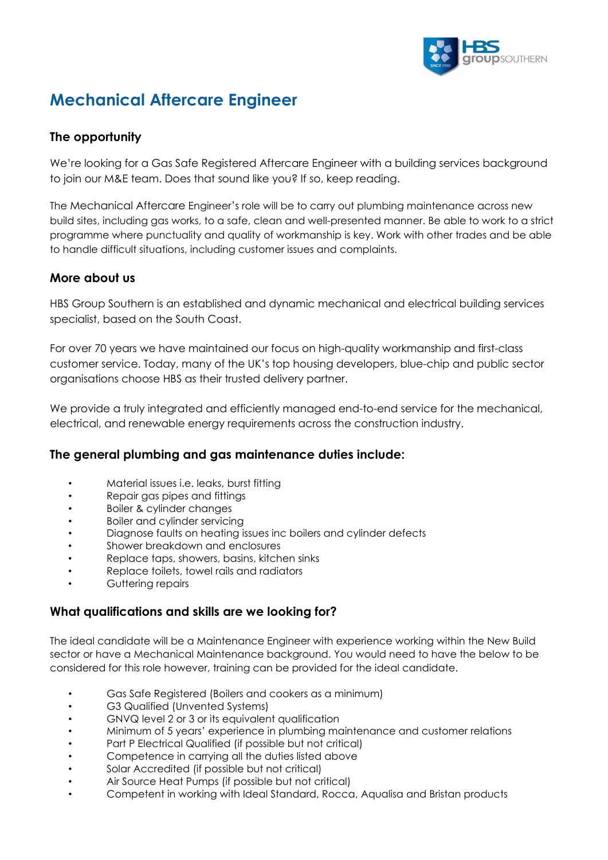

# **Mechanical Aftercare Engineer**

## **The opportunity**

We're looking for a Gas Safe Registered Aftercare Engineer with a building services background to join our M&E team. Does that sound like you? If so, keep reading.

The Mechanical Aftercare Engineer's role will be to carry out plumbing maintenance across new build sites, including gas works, to a safe, clean and well-presented manner. Be able to work to a strict programme where punctuality and quality of workmanship is key. Work with other trades and be able to handle difficult situations, including customer issues and complaints.

#### **More about us**

HBS Group Southern is an established and dynamic mechanical and electrical building services specialist, based on the South Coast.

For over 70 years we have maintained our focus on high-quality workmanship and first-class customer service. Today, many of the UK's top housing developers, blue-chip and public sector organisations choose HBS as their trusted delivery partner.

We provide a truly integrated and efficiently managed end-to-end service for the mechanical, electrical, and renewable energy requirements across the construction industry.

### **The general plumbing and gas maintenance duties include:**

- Material issues i.e. leaks, burst fitting
- Repair gas pipes and fittings
- Boiler & cylinder changes
- Boiler and cylinder servicing
- Diagnose faults on heating issues inc boilers and cylinder defects
- Shower breakdown and enclosures
- Replace taps, showers, basins, kitchen sinks
- Replace toilets, towel rails and radiators
- Guttering repairs

### **What qualifications and skills are we looking for?**

The ideal candidate will be a Maintenance Engineer with experience working within the New Build sector or have a Mechanical Maintenance background. You would need to have the below to be considered for this role however, training can be provided for the ideal candidate.

- Gas Safe Registered (Boilers and cookers as a minimum)
- G3 Qualified (Unvented Systems)
- GNVQ level 2 or 3 or its equivalent qualification
- Minimum of 5 years' experience in plumbing maintenance and customer relations
- Part P Electrical Qualified (if possible but not critical)
- Competence in carrying all the duties listed above
- Solar Accredited (if possible but not critical)
- Air Source Heat Pumps (if possible but not critical)
- Competent in working with Ideal Standard, Rocca, Aqualisa and Bristan products